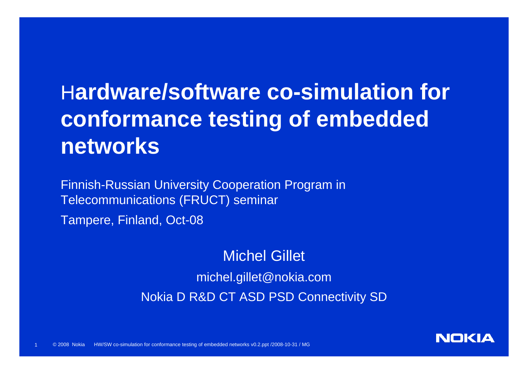## H**ardware/software co-simulation for conformance testing of embedded networks**

Finnish-Russian University Cooperation Program in Telecommunications (FRUCT) seminar

Tampere, Finland, Oct-08

1

#### Michel Gillet

michel.gillet@nokia.com Nokia D R&D CT ASD PSD Connectivity SD

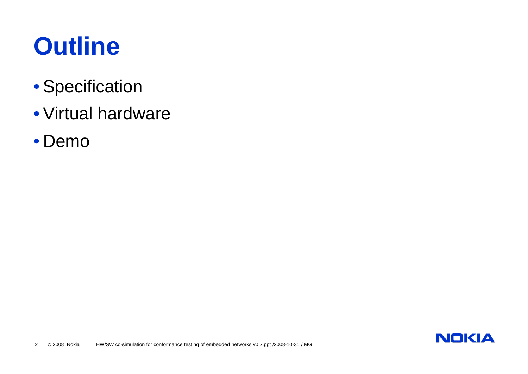# **Outline**

- Specification
- Virtual hardware
- Demo

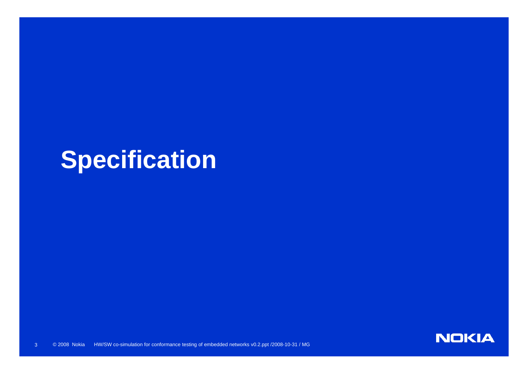## **Specification**

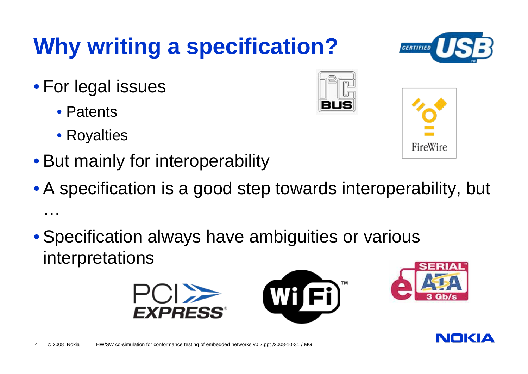## **Why writing a specification?**

- For legal issues
	- Patents
	- Royalties
- But mainly for interoperability
- A specification is a good step towards interoperability, but …

Wi I

• Specification always have ambiguities or various interpretations







FireWire





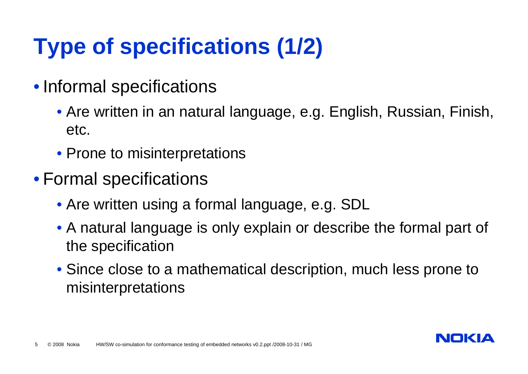## **Type of specifications (1/2)**

- Informal specifications
	- Are written in an natural language, e.g. English, Russian, Finish, etc.
	- Prone to misinterpretations
- Formal specifications
	- Are written using a formal language, e.g. SDL
	- A natural language is only explain or describe the formal part of the specification
	- Since close to a mathematical description, much less prone to misinterpretations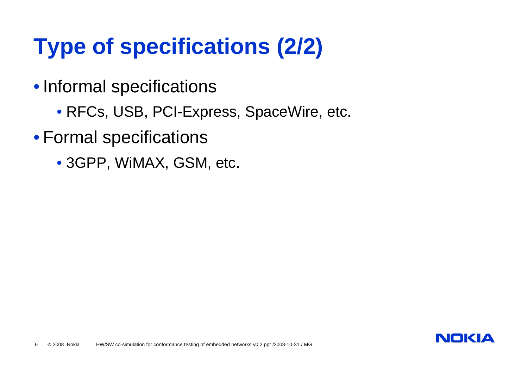## **Type of specifications (2/2)**

- Informal specifications
	- RFCs, USB, PCI-Express, SpaceWire, etc.
- Formal specifications
	- 3GPP, WiMAX, GSM, etc.

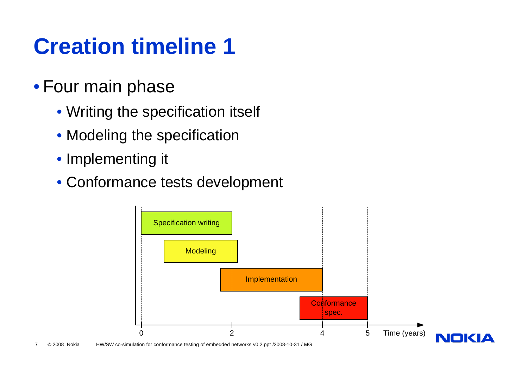## **Creation timeline 1**

#### • Four main phase

- Writing the specification itself
- Modeling the specification
- Implementing it
- Conformance tests development

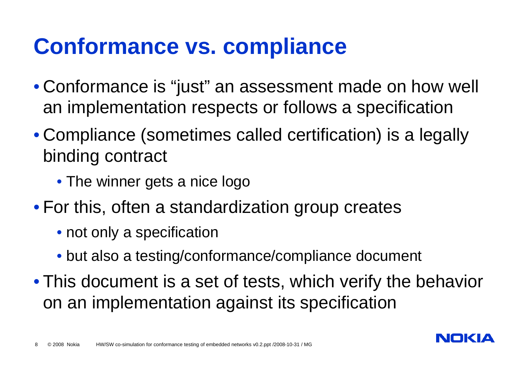#### **Conformance vs. compliance**

- Conformance is "just" an assessment made on how well an implementation respects or follows a specification
- Compliance (sometimes called certification) is a legally binding contract
	- The winner gets a nice logo
- For this, often a standardization group creates
	- not only a specification
	- but also a testing/conformance/compliance document
- This document is a set of tests, which verify the behavior on an implementation against its specification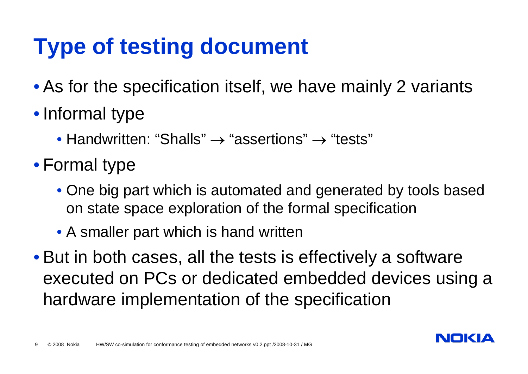## **Type of testing document**

- As for the specification itself, we have mainly 2 variants
- Informal type
	- Handwritten: "Shalls"  $\rightarrow$  "assertions"  $\rightarrow$  "tests"
- Formal type
	- One big part which is automated and generated by tools based on state space exploration of the formal specification
	- A smaller part which is hand written
- But in both cases, all the tests is effectively a software executed on PCs or dedicated embedded devices using a hardware implementation of the specification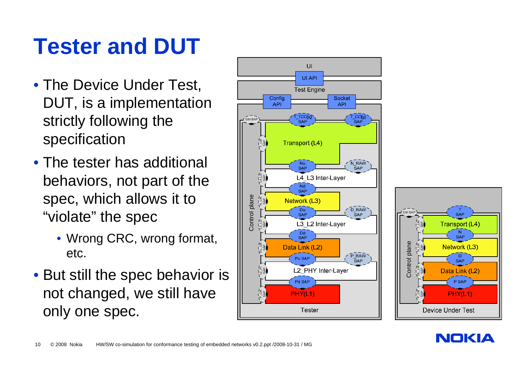## **Tester and DUT**

- The Device Under Test, DUT, is a implementation strictly following the specification
- The tester has additional behaviors, not part of the spec, which allows it to "violate" the spec
	- Wrong CRC, wrong format, etc.
- But still the spec behavior is not changed, we still have only one spec.





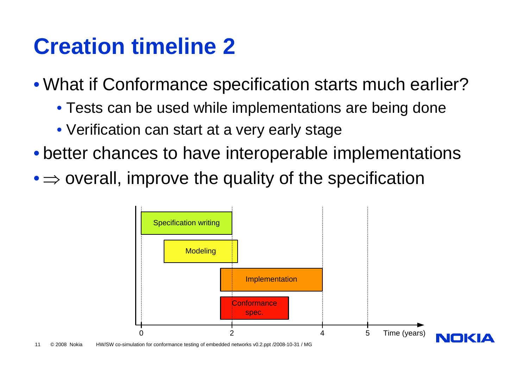#### **Creation timeline 2**

- What if Conformance specification starts much earlier?
	- Tests can be used while implementations are being done
	- Verification can start at a very early stage
- better chances to have interoperable implementations
- $\bullet$   $\Rightarrow$  overall, improve the quality of the specification

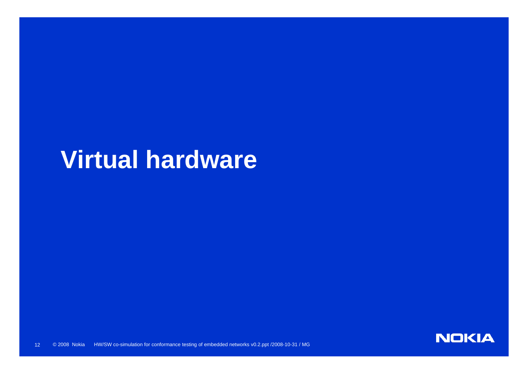## **Virtual hardware**

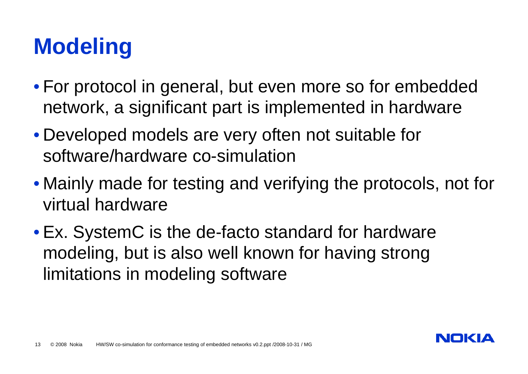## **Modeling**

- For protocol in general, but even more so for embedded network, a significant part is implemented in hardware
- Developed models are very often not suitable for software/hardware co-simulation
- Mainly made for testing and verifying the protocols, not for virtual hardware
- Ex. SystemC is the de-facto standard for hardware modeling, but is also well known for having strong limitations in modeling software

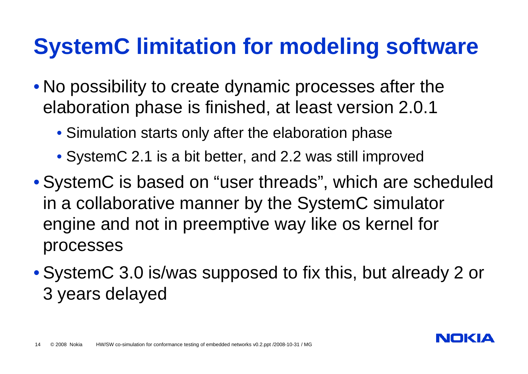## **SystemC limitation for modeling software**

- No possibility to create dynamic processes after the elaboration phase is finished, at least version 2.0.1
	- Simulation starts only after the elaboration phase
	- SystemC 2.1 is a bit better, and 2.2 was still improved
- SystemC is based on "user threads", which are scheduled in a collaborative manner by the SystemC simulator engine and not in preemptive way like os kernel for processes
- SystemC 3.0 is/was supposed to fix this, but already 2 or 3 years delayed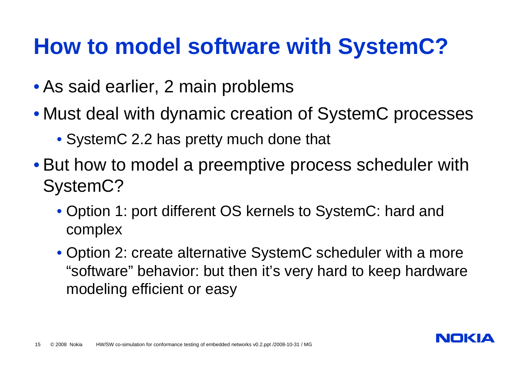#### **How to model software with SystemC?**

- As said earlier, 2 main problems
- Must deal with dynamic creation of SystemC processes
	- SystemC 2.2 has pretty much done that
- But how to model a preemptive process scheduler with SystemC?
	- Option 1: port different OS kernels to SystemC: hard and complex
	- Option 2: create alternative SystemC scheduler with a more "software" behavior: but then it's very hard to keep hardware modeling efficient or easy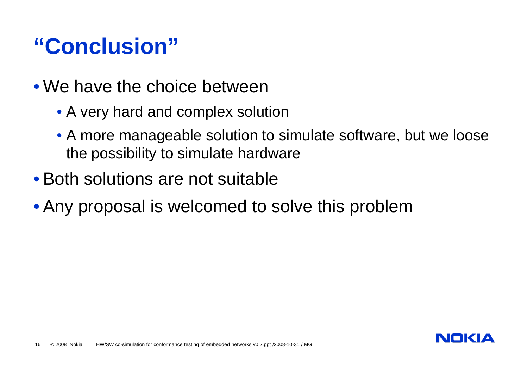#### **"Conclusion"**

- We have the choice between
	- A very hard and complex solution
	- A more manageable solution to simulate software, but we loose the possibility to simulate hardware
- Both solutions are not suitable
- Any proposal is welcomed to solve this problem

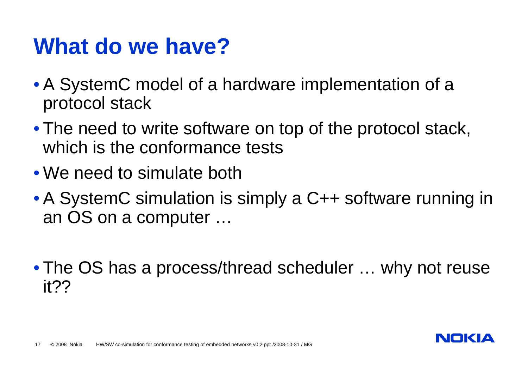#### **What do we have?**

- A SystemC model of a hardware implementation of a protocol stack
- The need to write software on top of the protocol stack, which is the conformance tests
- We need to simulate both
- A SystemC simulation is simply a C++ software running in an OS on a computer …
- The OS has a process/thread scheduler … why not reuse it??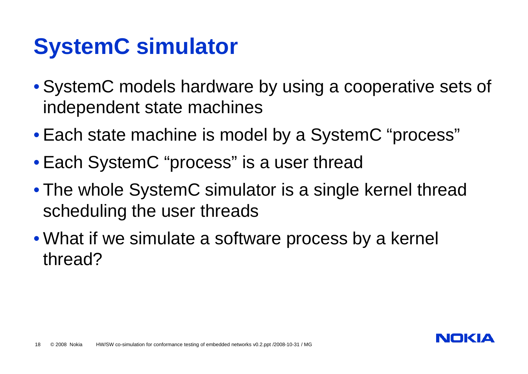## **SystemC simulator**

- SystemC models hardware by using a cooperative sets of independent state machines
- Each state machine is model by a SystemC "process"
- Each SystemC "process" is a user thread
- The whole SystemC simulator is a single kernel thread scheduling the user threads
- What if we simulate a software process by a kernel thread?

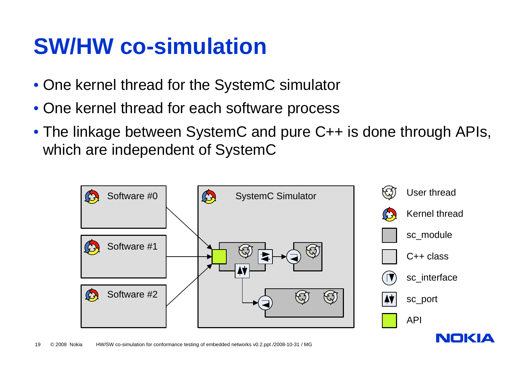#### **SW/HW co-simulation**

- One kernel thread for the SystemC simulator
- One kernel thread for each software process
- The linkage between SystemC and pure C++ is done through APIs, which are independent of SystemC

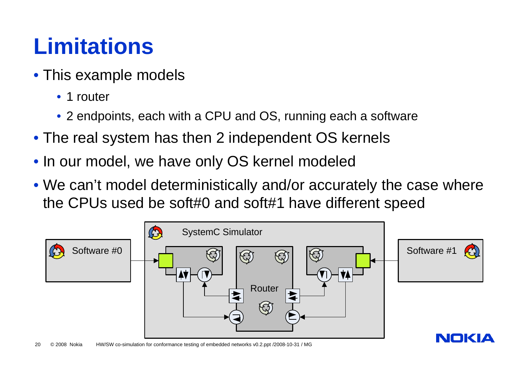## **Limitations**

- This example models
	- 1 router
	- 2 endpoints, each with a CPU and OS, running each a software
- The real system has then 2 independent OS kernels
- In our model, we have only OS kernel modeled
- We can't model deterministically and/or accurately the case where the CPUs used be soft#0 and soft#1 have different speed

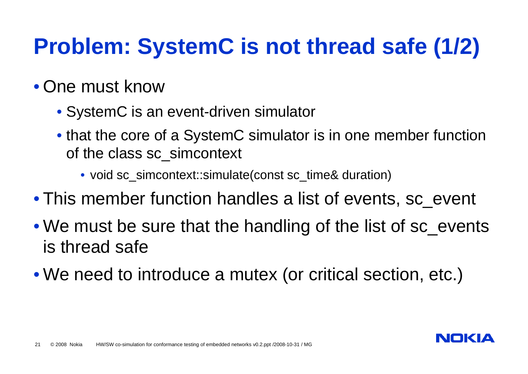## **Problem: SystemC is not thread safe (1/2)**

#### • One must know

- SystemC is an event-driven simulator
- that the core of a SystemC simulator is in one member function of the class sc\_simcontext
	- void sc\_simcontext::simulate(const sc\_time& duration)
- This member function handles a list of events, sc\_event
- We must be sure that the handling of the list of sc\_events is thread safe
- We need to introduce a mutex (or critical section, etc.)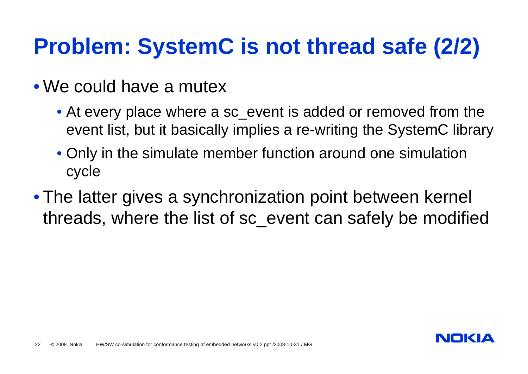## **Problem: SystemC is not thread safe (2/2)**

- We could have a mutex
	- At every place where a sc\_event is added or removed from the event list, but it basically implies a re-writing the SystemC library
	- Only in the simulate member function around one simulation cycle
- The latter gives a synchronization point between kernel threads, where the list of sc\_event can safely be modified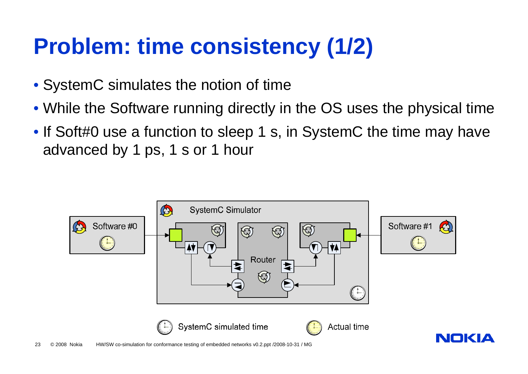## **Problem: time consistency (1/2)**

- SystemC simulates the notion of time
- While the Software running directly in the OS uses the physical time
- If Soft#0 use a function to sleep 1 s, in SystemC the time may have advanced by 1 ps, 1 s or 1 hour

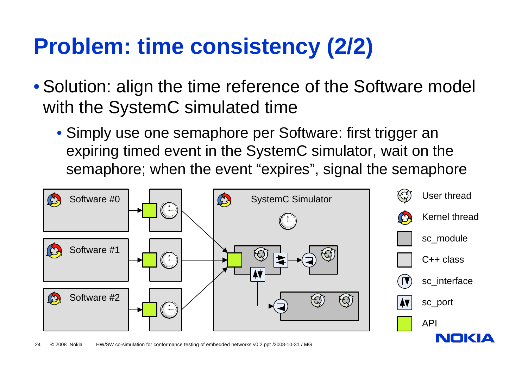## **Problem: time consistency (2/2)**

- Solution: align the time reference of the Software model with the SystemC simulated time
	- Simply use one semaphore per Software: first trigger an expiring timed event in the SystemC simulator, wait on the semaphore; when the event "expires", signal the semaphore

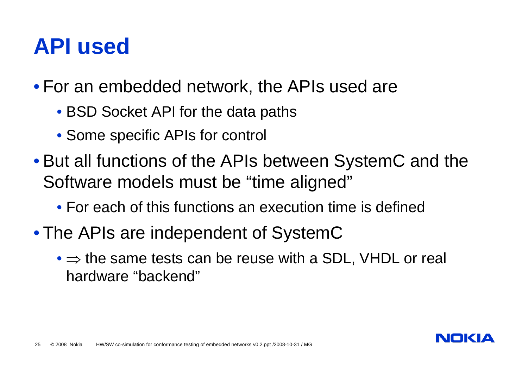#### **API used**

• For an embedded network, the APIs used are

- BSD Socket API for the data paths
- Some specific APIs for control
- But all functions of the APIs between SystemC and the Software models must be "time aligned"
	- For each of this functions an execution time is defined
- The APIs are independent of SystemC
	- $\bullet \Rightarrow$  the same tests can be reuse with a SDL, VHDL or real hardware "backend"

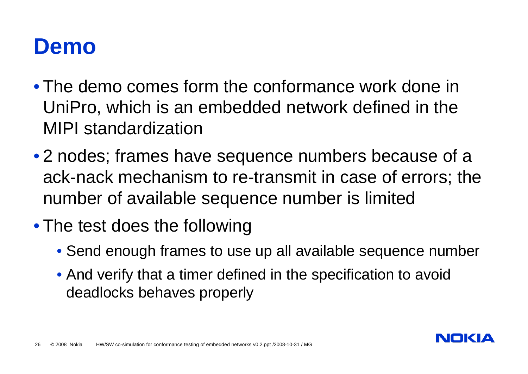#### **Demo**

- The demo comes form the conformance work done in UniPro, which is an embedded network defined in the MIPI standardization
- 2 nodes; frames have sequence numbers because of a ack-nack mechanism to re-transmit in case of errors; the number of available sequence number is limited
- The test does the following
	- Send enough frames to use up all available sequence number
	- And verify that a timer defined in the specification to avoid deadlocks behaves properly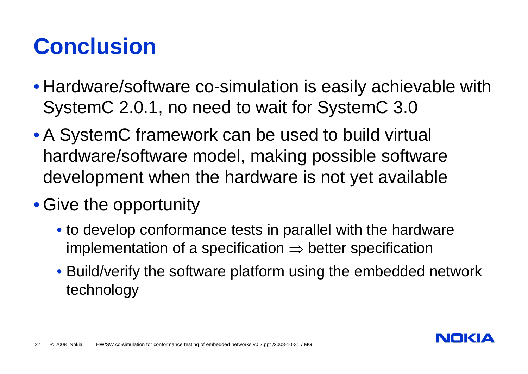## **Conclusion**

- Hardware/software co-simulation is easily achievable with SystemC 2.0.1, no need to wait for SystemC 3.0
- A SystemC framework can be used to build virtual hardware/software model, making possible software development when the hardware is not yet available
- Give the opportunity
	- to develop conformance tests in parallel with the hardware implementation of a specification  $\Rightarrow$  better specification
	- Build/verify the software platform using the embedded network technology